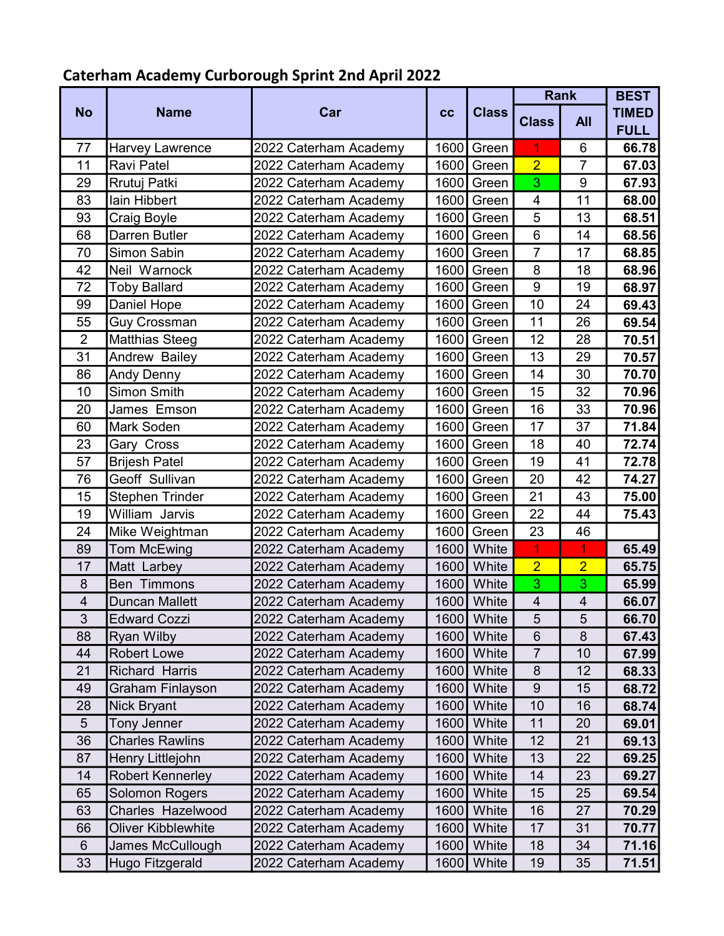## Caterham Academy Curborough Sprint 2nd April 2022

|                |                           |                       |      |              | <b>Rank</b>             |                | <b>BEST</b>  |
|----------------|---------------------------|-----------------------|------|--------------|-------------------------|----------------|--------------|
| <b>No</b>      | <b>Name</b>               | Car                   | cc   | <b>Class</b> | <b>Class</b>            | <b>All</b>     | <b>TIMED</b> |
|                |                           |                       |      |              |                         |                | <b>FULL</b>  |
| 77             | <b>Harvey Lawrence</b>    | 2022 Caterham Academy | 1600 | Green        | 1                       | 6              | 66.78        |
| 11             | Ravi Patel                | 2022 Caterham Academy |      | 1600 Green   | $\overline{2}$          | $\overline{7}$ | 67.03        |
| 29             | Rrutuj Patki              | 2022 Caterham Academy |      | 1600 Green   | 3                       | 9              | 67.93        |
| 83             | lain Hibbert              | 2022 Caterham Academy |      | 1600 Green   | 4                       | 11             | 68.00        |
| 93             | Craig Boyle               | 2022 Caterham Academy | 1600 | Green        | 5                       | 13             | 68.51        |
| 68             | Darren Butler             | 2022 Caterham Academy |      | 1600 Green   | $6\phantom{1}$          | 14             | 68.56        |
| 70             | Simon Sabin               | 2022 Caterham Academy |      | 1600 Green   | $\overline{7}$          | 17             | 68.85        |
| 42             | Neil Warnock              | 2022 Caterham Academy |      | 1600 Green   | 8                       | 18             | 68.96        |
| 72             | <b>Toby Ballard</b>       | 2022 Caterham Academy | 1600 | Green        | $\overline{9}$          | 19             | 68.97        |
| 99             | Daniel Hope               | 2022 Caterham Academy |      | 1600 Green   | 10                      | 24             | 69.43        |
| 55             | <b>Guy Crossman</b>       | 2022 Caterham Academy |      | 1600 Green   | 11                      | 26             | 69.54        |
| $\overline{2}$ | <b>Matthias Steeg</b>     | 2022 Caterham Academy |      | 1600 Green   | 12                      | 28             | 70.51        |
| 31             | Andrew Bailey             | 2022 Caterham Academy |      | 1600 Green   | 13                      | 29             | 70.57        |
| 86             | <b>Andy Denny</b>         | 2022 Caterham Academy |      | 1600 Green   | 14                      | 30             | 70.70        |
| 10             | <b>Simon Smith</b>        | 2022 Caterham Academy |      | 1600 Green   | 15                      | 32             | 70.96        |
| 20             | James Emson               | 2022 Caterham Academy |      | 1600 Green   | 16                      | 33             | 70.96        |
| 60             | <b>Mark Soden</b>         | 2022 Caterham Academy |      | 1600 Green   | 17                      | 37             | 71.84        |
| 23             | Gary Cross                | 2022 Caterham Academy | 1600 | Green        | 18                      | 40             | 72.74        |
| 57             | <b>Brijesh Patel</b>      | 2022 Caterham Academy |      | 1600 Green   | 19                      | 41             | 72.78        |
| 76             | Geoff Sullivan            | 2022 Caterham Academy |      | 1600 Green   | 20                      | 42             | 74.27        |
| 15             | Stephen Trinder           | 2022 Caterham Academy |      | 1600 Green   | 21                      | 43             | 75.00        |
| 19             | William Jarvis            | 2022 Caterham Academy | 1600 | Green        | 22                      | 44             | 75.43        |
| 24             | Mike Weightman            | 2022 Caterham Academy |      | 1600 Green   | 23                      | 46             |              |
| 89             | <b>Tom McEwing</b>        | 2022 Caterham Academy | 1600 | White        | 1                       | 1              | 65.49        |
| 17             | Matt Larbey               | 2022 Caterham Academy | 1600 | White        | $\overline{2}$          | $\overline{2}$ | 65.75        |
| 8              | <b>Ben Timmons</b>        | 2022 Caterham Academy |      | 1600 White   | 3                       | 3              | 65.99        |
| 4              | <b>Duncan Mallett</b>     | 2022 Caterham Academy | 1600 | White        | $\overline{\mathbf{4}}$ | 4              | 66.07        |
| $\mathfrak{S}$ | <b>Edward Cozzi</b>       | 2022 Caterham Academy |      | 1600 White   | 5                       | 5              | 66.70        |
| 88             | <b>Ryan Wilby</b>         | 2022 Caterham Academy | 1600 | White        | 6                       | 8              | 67.43        |
| 44             | <b>Robert Lowe</b>        | 2022 Caterham Academy | 1600 | White        | $\overline{7}$          | 10             | 67.99        |
| 21             | <b>Richard Harris</b>     | 2022 Caterham Academy | 1600 | White        | 8                       | 12             | 68.33        |
| 49             | <b>Graham Finlayson</b>   | 2022 Caterham Academy | 1600 | White        | $9\,$                   | 15             | 68.72        |
| 28             | <b>Nick Bryant</b>        | 2022 Caterham Academy | 1600 | White        | 10                      | 16             | 68.74        |
| 5              | <b>Tony Jenner</b>        | 2022 Caterham Academy | 1600 | White        | 11                      | 20             | 69.01        |
| 36             | <b>Charles Rawlins</b>    | 2022 Caterham Academy | 1600 | White        | 12                      | 21             | 69.13        |
| 87             | Henry Littlejohn          | 2022 Caterham Academy | 1600 | White        | 13                      | 22             | 69.25        |
| 14             | <b>Robert Kennerley</b>   | 2022 Caterham Academy | 1600 | White        | 14                      | 23             | 69.27        |
| 65             | <b>Solomon Rogers</b>     | 2022 Caterham Academy | 1600 | White        | 15                      | 25             | 69.54        |
| 63             | <b>Charles Hazelwood</b>  | 2022 Caterham Academy | 1600 | White        | 16                      | 27             | 70.29        |
| 66             | <b>Oliver Kibblewhite</b> | 2022 Caterham Academy | 1600 | White        | 17                      | 31             | 70.77        |
| $6\phantom{1}$ | James McCullough          | 2022 Caterham Academy | 1600 | White        | 18                      | 34             | 71.16        |
| 33             | Hugo Fitzgerald           | 2022 Caterham Academy | 1600 | White        | 19                      | 35             | 71.51        |